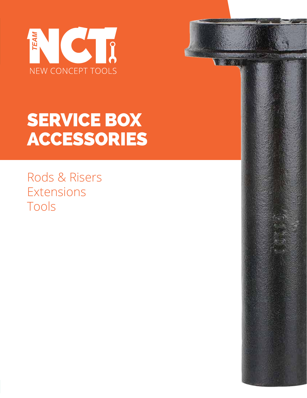



Rods & Risers Extensions Tools

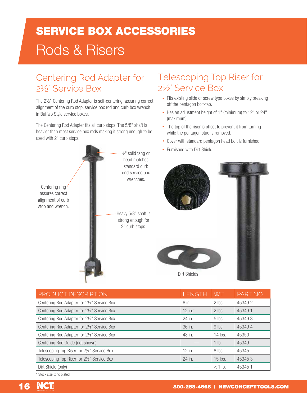# SERVICE BOX ACCESSORIES Rods & Risers

## Centering Rod Adapter for 2½" Service Box

The 2½" Centering Rod Adapter is self-centering, assuring correct alignment of the curb stop, service box rod and curb box wrench in Buffalo Style service boxes.

The Centering Rod Adapter fits all curb stops. The 5/8" shaft is heavier than most service box rods making it strong enough to be used with 2" curb stops.



### Telescoping Top Riser for 2½" Service Box

- Fits existing slide or screw type boxes by simply breaking off the pentagon bolt-tab.
- Has an adjustment height of 1" (minimum) to 12" or 24" (maximum).
- The top of the riser is offset to prevent it from turning while the pentagon stud is removed.
- Cover with standard pentagon head bolt is furnished.
- Furnished with Dirt Shield.



| PRODUCT DESCRIPTION                         | <b>LENGTH</b> | WT.       | PART NO. |
|---------------------------------------------|---------------|-----------|----------|
| Centering Rod Adapter for 2½" Service Box   | 6 in.         | 2 lbs.    | 453492   |
| Centering Rod Adapter for 2½" Service Box   | $12$ in. $*$  | $2$ lbs.  | 453491   |
| Centering Rod Adapter for 2½" Service Box   | 24 in.        | $5$ lbs.  | 453493   |
| Centering Rod Adapter for 2½" Service Box   | 36 in.        | 9 lbs.    | 453494   |
| Centering Rod Adapter for 21/2" Service Box | 48 in.        | 14 lbs.   | 45350    |
| Centering Rod Guide (not shown)             |               | $1$ lb.   | 45349    |
| Telescoping Top Riser for 2½" Service Box   | 12 in.        | $8$ lbs.  | 45345    |
| Telescoping Top Riser for 2½" Service Box   | 24 in.        | $15$ lbs. | 453453   |
| Dirt Shield (only)                          |               | $<$ 1 lb. | 453451   |

\* Stock size, zinc plated

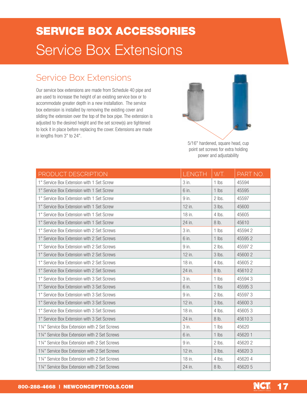## SERVICE BOX ACCESSORIES Service Box Extensions

#### Service Box Extensions

Our service box extensions are made from Schedule 40 pipe and are used to increase the height of an existing service box or to accommodate greater depth in a new installation. The service box extension is installed by removing the existing cover and sliding the extension over the top of the box pipe. The extension is adjusted to the desired height and the set screw(s) are tightened to lock it in place before replacing the cover. Extensions are made in lengths from 3" to 24".



5/16" hardened, square head, cup point set screws for extra holding power and adjustability

| PRODUCT DESCRIPTION                           | <b>LENGTH</b> | WT.      | PART NO. |
|-----------------------------------------------|---------------|----------|----------|
| 1" Service Box Extension with 1 Set Screw     | $3$ in.       | $1$ lbs  | 45594    |
| 1" Service Box Extension with 1 Set Screw     | 6 in.         | $1$ lbs  | 45595    |
| 1" Service Box Extension with 1 Set Screw     | 9 in.         | $2$ lbs. | 45597    |
| 1" Service Box Extension with 1 Set Screw     | $12$ in.      | $3$ lbs. | 45600    |
| 1" Service Box Extension with 1 Set Screw     | 18 in.        | $4$ lbs. | 45605    |
| 1" Service Box Extension with 1 Set Screw     | 24 in.        | $8$ lb.  | 45610    |
| 1" Service Box Extension with 2 Set Screws    | 3 in.         | $1$ lbs  | 455942   |
| 1" Service Box Extension with 2 Set Screws    | 6 in.         | $1$ lbs  | 455952   |
| 1" Service Box Extension with 2 Set Screws    | 9 in.         | $2$ lbs. | 455972   |
| 1" Service Box Extension with 2 Set Screws    | 12 in.        | 3 lbs.   | 45600 2  |
| 1" Service Box Extension with 2 Set Screws    | 18 in.        | $4$ lbs. | 456052   |
| 1" Service Box Extension with 2 Set Screws    | 24 in.        | 8 lb.    | 456102   |
| 1" Service Box Extension with 3 Set Screws    | 3 in.         | $1$ lbs  | 455943   |
| 1" Service Box Extension with 3 Set Screws    | 6 in.         | 1 lbs    | 455953   |
| 1" Service Box Extension with 3 Set Screws    | 9 in.         | 2 lbs.   | 455973   |
| 1" Service Box Extension with 3 Set Screws    | 12 in.        | 3 lbs.   | 456003   |
| 1" Service Box Extension with 3 Set Screws    | 18 in.        | 4 lbs.   | 456053   |
| 1" Service Box Extension with 3 Set Screws    | 24 in.        | 8 lb.    | 456103   |
| 11/4" Service Box Extension with 2 Set Screws | 3 in.         | $1$ lbs  | 45620    |
| 11/4" Service Box Extension with 2 Set Screws | 6 in.         | $1$ lbs  | 456201   |
| 11/4" Service Box Extension with 2 Set Screws | 9 in.         | 2 lbs.   | 456202   |
| 11/4" Service Box Extension with 2 Set Screws | 12 in.        | 3 lbs.   | 456203   |
| 11/4" Service Box Extension with 2 Set Screws | 18 in.        | 4 lbs.   | 456204   |
| 11/4" Service Box Extension with 2 Set Screws | 24 in.        | 8 lb.    | 45620 5  |